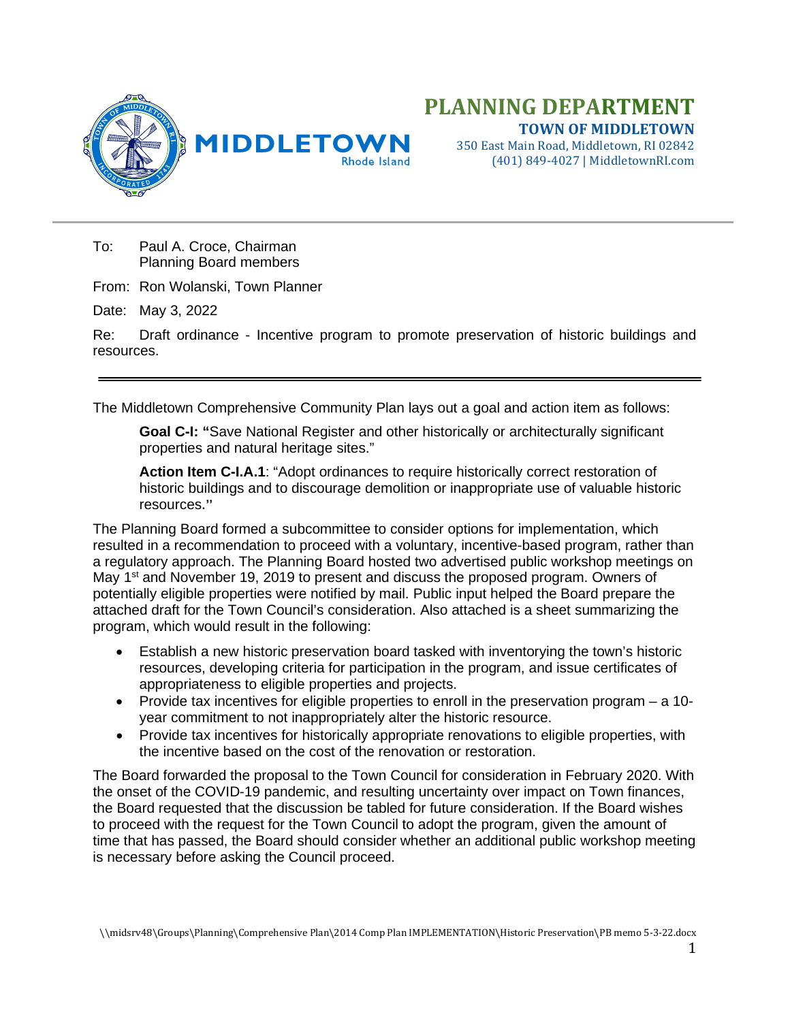

# **PLANNING DEPARTMENT TOWN OF MIDDLETOWN**

350 East Main Road, Middletown, RI 02842 (401) 849-4027 | MiddletownRI.com

To: Paul A. Croce, Chairman Planning Board members

From: Ron Wolanski, Town Planner

Date: May 3, 2022

Re: Draft ordinance - Incentive program to promote preservation of historic buildings and resources.

The Middletown Comprehensive Community Plan lays out a goal and action item as follows:

**Goal C-I: "**Save National Register and other historically or architecturally significant properties and natural heritage sites."

**Action Item C-I.A.1**: "Adopt ordinances to require historically correct restoration of historic buildings and to discourage demolition or inappropriate use of valuable historic resources."

The Planning Board formed a subcommittee to consider options for implementation, which resulted in a recommendation to proceed with a voluntary, incentive-based program, rather than a regulatory approach. The Planning Board hosted two advertised public workshop meetings on May  $1<sup>st</sup>$  and November 19, 2019 to present and discuss the proposed program. Owners of potentially eligible properties were notified by mail. Public input helped the Board prepare the attached draft for the Town Council's consideration. Also attached is a sheet summarizing the program, which would result in the following:

- Establish a new historic preservation board tasked with inventorying the town's historic resources, developing criteria for participation in the program, and issue certificates of appropriateness to eligible properties and projects.
- Provide tax incentives for eligible properties to enroll in the preservation program a 10 year commitment to not inappropriately alter the historic resource.
- Provide tax incentives for historically appropriate renovations to eligible properties, with the incentive based on the cost of the renovation or restoration.

The Board forwarded the proposal to the Town Council for consideration in February 2020. With the onset of the COVID-19 pandemic, and resulting uncertainty over impact on Town finances, the Board requested that the discussion be tabled for future consideration. If the Board wishes to proceed with the request for the Town Council to adopt the program, given the amount of time that has passed, the Board should consider whether an additional public workshop meeting is necessary before asking the Council proceed.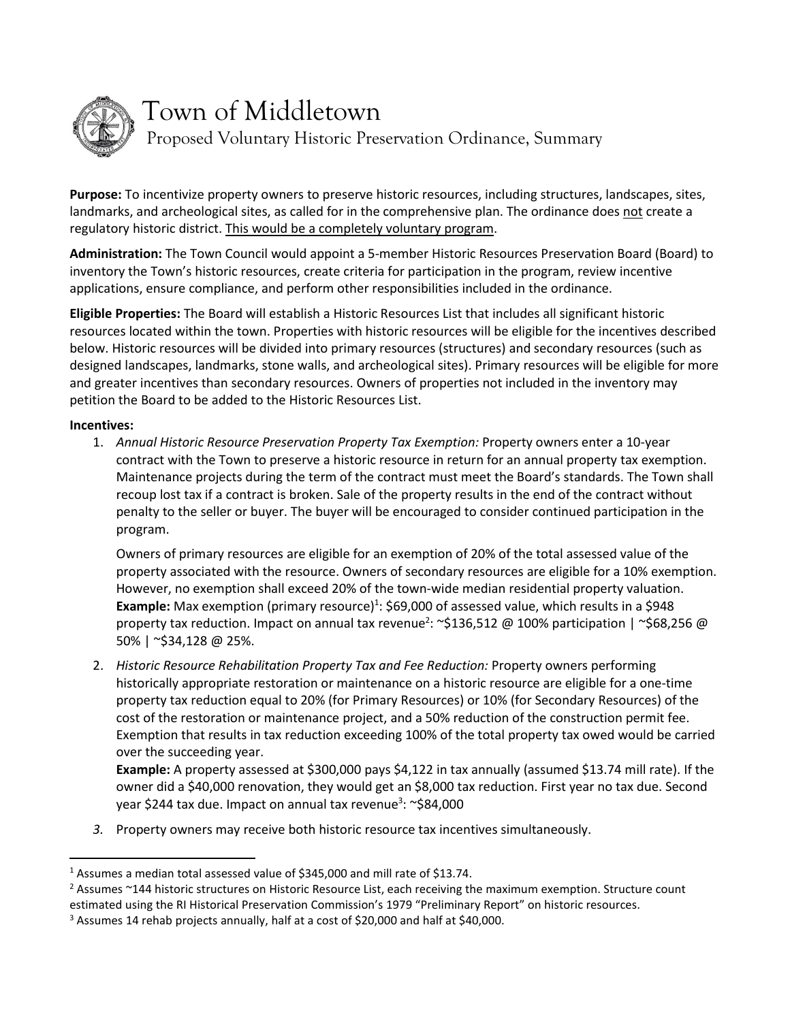

# Town of Middletown

Proposed Voluntary Historic Preservation Ordinance, Summary

**Purpose:** To incentivize property owners to preserve historic resources, including structures, landscapes, sites, landmarks, and archeological sites, as called for in the comprehensive plan. The ordinance does not create a regulatory historic district. This would be a completely voluntary program.

**Administration:** The Town Council would appoint a 5-member Historic Resources Preservation Board (Board) to inventory the Town's historic resources, create criteria for participation in the program, review incentive applications, ensure compliance, and perform other responsibilities included in the ordinance.

**Eligible Properties:** The Board will establish a Historic Resources List that includes all significant historic resources located within the town. Properties with historic resources will be eligible for the incentives described below. Historic resources will be divided into primary resources (structures) and secondary resources (such as designed landscapes, landmarks, stone walls, and archeological sites). Primary resources will be eligible for more and greater incentives than secondary resources. Owners of properties not included in the inventory may petition the Board to be added to the Historic Resources List.

# **Incentives:**

1. *Annual Historic Resource Preservation Property Tax Exemption:* Property owners enter a 10-year contract with the Town to preserve a historic resource in return for an annual property tax exemption. Maintenance projects during the term of the contract must meet the Board's standards. The Town shall recoup lost tax if a contract is broken. Sale of the property results in the end of the contract without penalty to the seller or buyer. The buyer will be encouraged to consider continued participation in the program.

Owners of primary resources are eligible for an exemption of 20% of the total assessed value of the property associated with the resource. Owners of secondary resources are eligible for a 10% exemption. However, no exemption shall exceed 20% of the town-wide median residential property valuation. Example: Max exemption (primary resource)<sup>1</sup>: \$69,000 of assessed value, which results in a \$948 property tax reduction. Impact on annual tax revenue<sup>2</sup>: ~\$136,512 @ 100% participation | ~\$68,256 @ 50% | ~\$34,128 @ 25%.

2. *Historic Resource Rehabilitation Property Tax and Fee Reduction:* Property owners performing historically appropriate restoration or maintenance on a historic resource are eligible for a one-time property tax reduction equal to 20% (for Primary Resources) or 10% (for Secondary Resources) of the cost of the restoration or maintenance project, and a 50% reduction of the construction permit fee. Exemption that results in tax reduction exceeding 100% of the total property tax owed would be carried over the succeeding year.

**Example:** A property assessed at \$300,000 pays \$4,122 in tax annually (assumed \$13.74 mill rate). If the owner did a \$40,000 renovation, they would get an \$8,000 tax reduction. First year no tax due. Second year \$244 tax due. Impact on annual tax revenue<sup>3</sup>: ~\$84,000

*3.* Property owners may receive both historic resource tax incentives simultaneously.

<sup>&</sup>lt;sup>1</sup> Assumes a median total assessed value of \$345,000 and mill rate of \$13.74.

<sup>&</sup>lt;sup>2</sup> Assumes ~144 historic structures on Historic Resource List, each receiving the maximum exemption. Structure count estimated using the RI Historical Preservation Commission's 1979 "Preliminary Report" on historic resources.

<sup>&</sup>lt;sup>3</sup> Assumes 14 rehab projects annually, half at a cost of \$20,000 and half at \$40,000.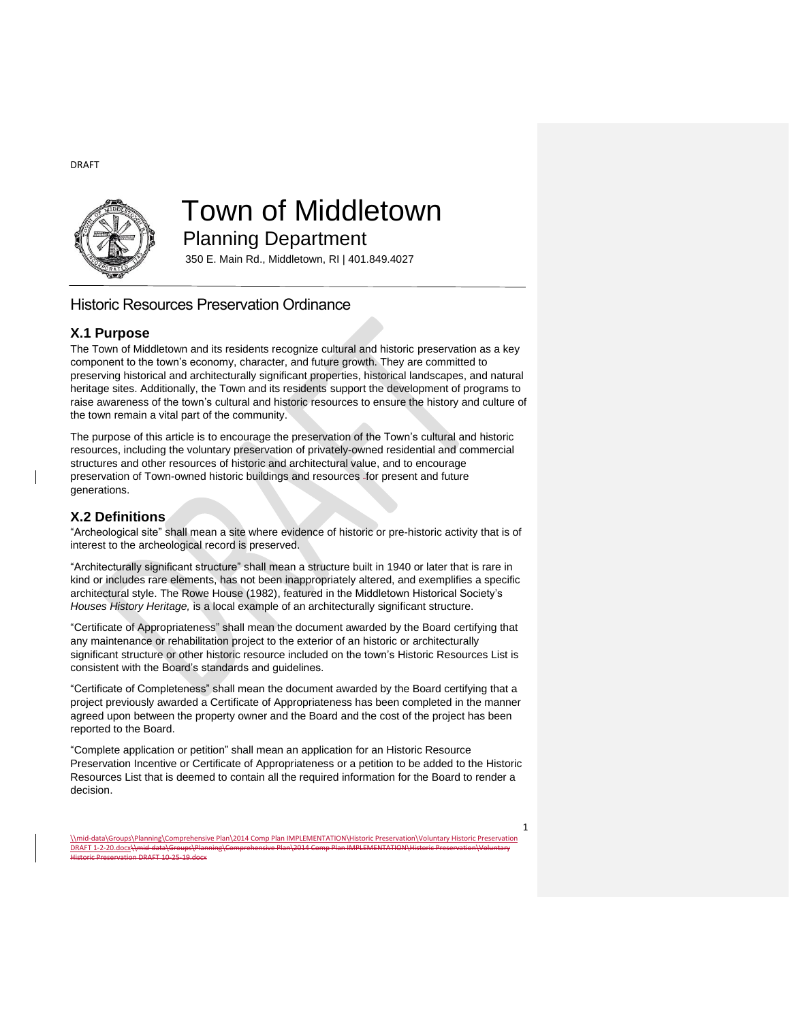

# Town of Middletown

Planning Department

350 E. Main Rd., Middletown, RI | 401.849.4027

# Historic Resources Preservation Ordinance

# **X.1 Purpose**

The Town of Middletown and its residents recognize cultural and historic preservation as a key component to the town's economy, character, and future growth. They are committed to preserving historical and architecturally significant properties, historical landscapes, and natural heritage sites. Additionally, the Town and its residents support the development of programs to raise awareness of the town's cultural and historic resources to ensure the history and culture of the town remain a vital part of the community.

The purpose of this article is to encourage the preservation of the Town's cultural and historic resources, including the voluntary preservation of privately-owned residential and commercial structures and other resources of historic and architectural value, and to encourage preservation of Town-owned historic buildings and resources -for present and future generations.

# **X.2 Definitions**

"Archeological site" shall mean a site where evidence of historic or pre-historic activity that is of interest to the archeological record is preserved.

"Architecturally significant structure" shall mean a structure built in 1940 or later that is rare in kind or includes rare elements, has not been inappropriately altered, and exemplifies a specific architectural style. The Rowe House (1982), featured in the Middletown Historical Society's *Houses History Heritage,* is a local example of an architecturally significant structure.

"Certificate of Appropriateness" shall mean the document awarded by the Board certifying that any maintenance or rehabilitation project to the exterior of an historic or architecturally significant structure or other historic resource included on the town's Historic Resources List is consistent with the Board's standards and guidelines.

"Certificate of Completeness" shall mean the document awarded by the Board certifying that a project previously awarded a Certificate of Appropriateness has been completed in the manner agreed upon between the property owner and the Board and the cost of the project has been reported to the Board.

"Complete application or petition" shall mean an application for an Historic Resource Preservation Incentive or Certificate of Appropriateness or a petition to be added to the Historic Resources List that is deemed to contain all the required information for the Board to render a decision.

\\mid-data\Groups\Planning\Comprehensive Plan\2014 Comp Plan IMPLEMENTATION\Historic Preservation\Voluntary Historic Preservation DRAFT 1-2-20.docx\\mid-data\Group Historic Preservation DRAFT 10-25-19.docx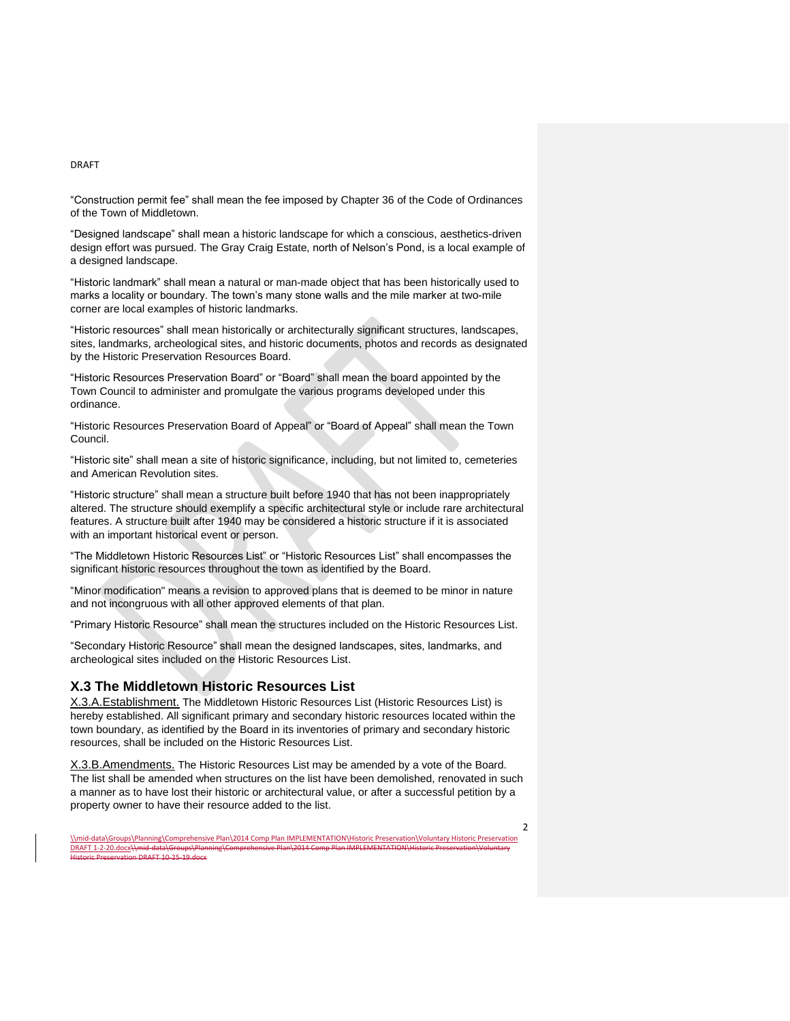"Construction permit fee" shall mean the fee imposed by Chapter 36 of the Code of Ordinances of the Town of Middletown.

"Designed landscape" shall mean a historic landscape for which a conscious, aesthetics-driven design effort was pursued. The Gray Craig Estate, north of Nelson's Pond, is a local example of a designed landscape.

"Historic landmark" shall mean a natural or man-made object that has been historically used to marks a locality or boundary. The town's many stone walls and the mile marker at two-mile corner are local examples of historic landmarks.

"Historic resources" shall mean historically or architecturally significant structures, landscapes, sites, landmarks, archeological sites, and historic documents, photos and records as designated by the Historic Preservation Resources Board.

"Historic Resources Preservation Board" or "Board" shall mean the board appointed by the Town Council to administer and promulgate the various programs developed under this ordinance.

"Historic Resources Preservation Board of Appeal" or "Board of Appeal" shall mean the Town Council.

"Historic site" shall mean a site of historic significance, including, but not limited to, cemeteries and American Revolution sites.

"Historic structure" shall mean a structure built before 1940 that has not been inappropriately altered. The structure should exemplify a specific architectural style or include rare architectural features. A structure built after 1940 may be considered a historic structure if it is associated with an important historical event or person.

"The Middletown Historic Resources List" or "Historic Resources List" shall encompasses the significant historic resources throughout the town as identified by the Board.

"Minor modification" means a revision to approved plans that is deemed to be minor in nature and not incongruous with all other approved elements of that plan.

"Primary Historic Resource" shall mean the structures included on the Historic Resources List.

"Secondary Historic Resource" shall mean the designed landscapes, sites, landmarks, and archeological sites included on the Historic Resources List.

## **X.3 The Middletown Historic Resources List**

X.3.A.Establishment. The Middletown Historic Resources List (Historic Resources List) is hereby established. All significant primary and secondary historic resources located within the town boundary, as identified by the Board in its inventories of primary and secondary historic resources, shall be included on the Historic Resources List.

X.3.B.Amendments. The Historic Resources List may be amended by a vote of the Board. The list shall be amended when structures on the list have been demolished, renovated in such a manner as to have lost their historic or architectural value, or after a successful petition by a property owner to have their resource added to the list.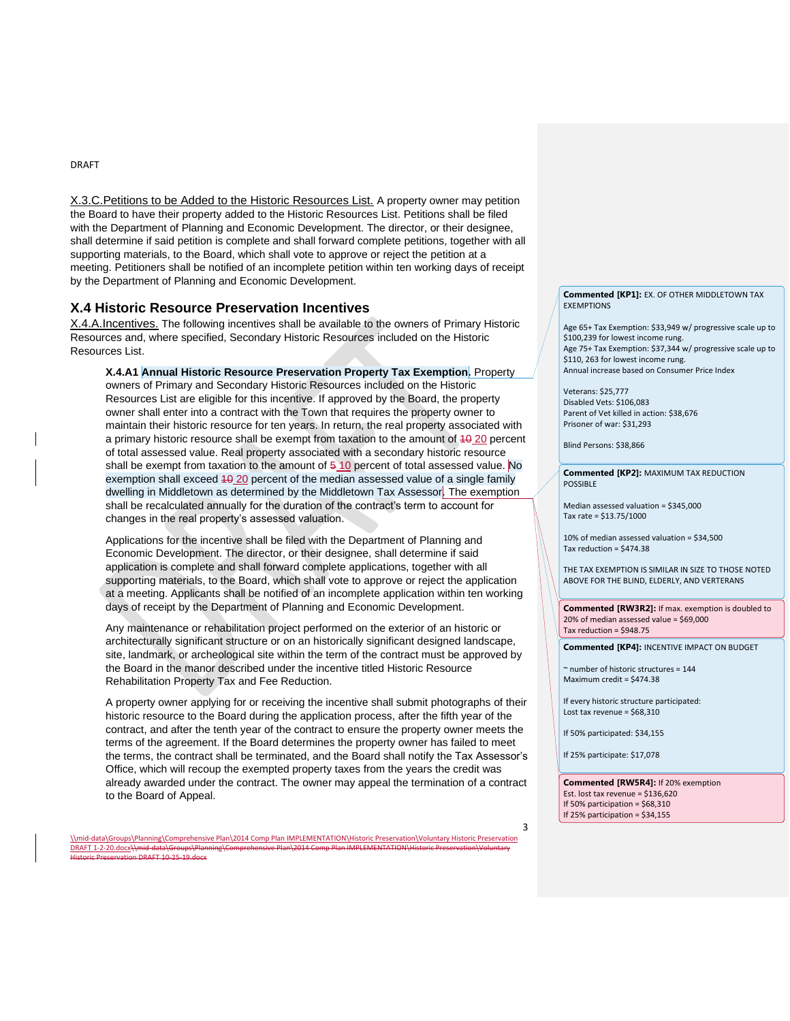X.3.C.Petitions to be Added to the Historic Resources List. A property owner may petition the Board to have their property added to the Historic Resources List. Petitions shall be filed with the Department of Planning and Economic Development. The director, or their designee, shall determine if said petition is complete and shall forward complete petitions, together with all supporting materials, to the Board, which shall vote to approve or reject the petition at a meeting. Petitioners shall be notified of an incomplete petition within ten working days of receipt by the Department of Planning and Economic Development.

### **X.4 Historic Resource Preservation Incentives**

X.4.A.Incentives. The following incentives shall be available to the owners of Primary Historic Resources and, where specified, Secondary Historic Resources included on the Historic Resources List.

**X.4.A1 Annual Historic Resource Preservation Property Tax Exemption.** Property owners of Primary and Secondary Historic Resources included on the Historic Resources List are eligible for this incentive. If approved by the Board, the property owner shall enter into a contract with the Town that requires the property owner to maintain their historic resource for ten years. In return, the real property associated with a primary historic resource shall be exempt from taxation to the amount of 10 20 percent of total assessed value. Real property associated with a secondary historic resource shall be exempt from taxation to the amount of  $510$  percent of total assessed value. No exemption shall exceed  $40.20$  percent of the median assessed value of a single family dwelling in Middletown as determined by the Middletown Tax Assessor. The exemption shall be recalculated annually for the duration of the contract's term to account for changes in the real property's assessed valuation.

Applications for the incentive shall be filed with the Department of Planning and Economic Development. The director, or their designee, shall determine if said application is complete and shall forward complete applications, together with all supporting materials, to the Board, which shall vote to approve or reject the application at a meeting. Applicants shall be notified of an incomplete application within ten working days of receipt by the Department of Planning and Economic Development.

Any maintenance or rehabilitation project performed on the exterior of an historic or architecturally significant structure or on an historically significant designed landscape, site, landmark, or archeological site within the term of the contract must be approved by the Board in the manor described under the incentive titled Historic Resource Rehabilitation Property Tax and Fee Reduction.

A property owner applying for or receiving the incentive shall submit photographs of their historic resource to the Board during the application process, after the fifth year of the contract, and after the tenth year of the contract to ensure the property owner meets the terms of the agreement. If the Board determines the property owner has failed to meet the terms, the contract shall be terminated, and the Board shall notify the Tax Assessor's Office, which will recoup the exempted property taxes from the years the credit was already awarded under the contract. The owner may appeal the termination of a contract to the Board of Appeal.

\\mid-data\Groups\Planning\Comprehensive Plan\2014 Comp Plan IMPLEMENTATION\Historic Preservation\Voluntary Historic Preservation DRAFT 1-2-20.docx\\mid-data\Groups\ **DRAFT 10-25-19.dc** 

**Commented [KP1]:** EX. OF OTHER MIDDLETOWN TAX **EXEMPTIONS** 

Age 65+ Tax Exemption: \$33,949 w/ progressive scale up to \$100,239 for lowest income rung. Age 75+ Tax Exemption: \$37,344 w/ progressive scale up to \$110, 263 for lowest income rung. Annual increase based on Consumer Price Index

Veterans: \$25,777 Disabled Vets: \$106,083 Parent of Vet killed in action: \$38,676 Prisoner of war: \$31,293

Blind Persons: \$38,866

**Commented [KP2]:** MAXIMUM TAX REDUCTION POSSIBLE

Median assessed valuation = \$345,000 Tax rate = \$13.75/1000

10% of median assessed valuation = \$34,500 Tax reduction = \$474.38

THE TAX EXEMPTION IS SIMILAR IN SIZE TO THOSE NOTED ABOVE FOR THE BLIND, ELDERLY, AND VERTERANS

**Commented [RW3R2]:** If max. exemption is doubled to 20% of median assessed value = \$69,000 Tax reduction = \$948.75

**Commented [KP4]:** INCENTIVE IMPACT ON BUDGET

~ number of historic structures = 144 Maximum credit = \$474.38

If every historic structure participated: Lost tax revenue = \$68,310

If 50% participated: \$34,155

If 25% participate: \$17,078

3

**Commented [RW5R4]:** If 20% exemption Est. lost tax revenue = \$136,620 If 50% participation = \$68,310 If 25% participation = \$34,155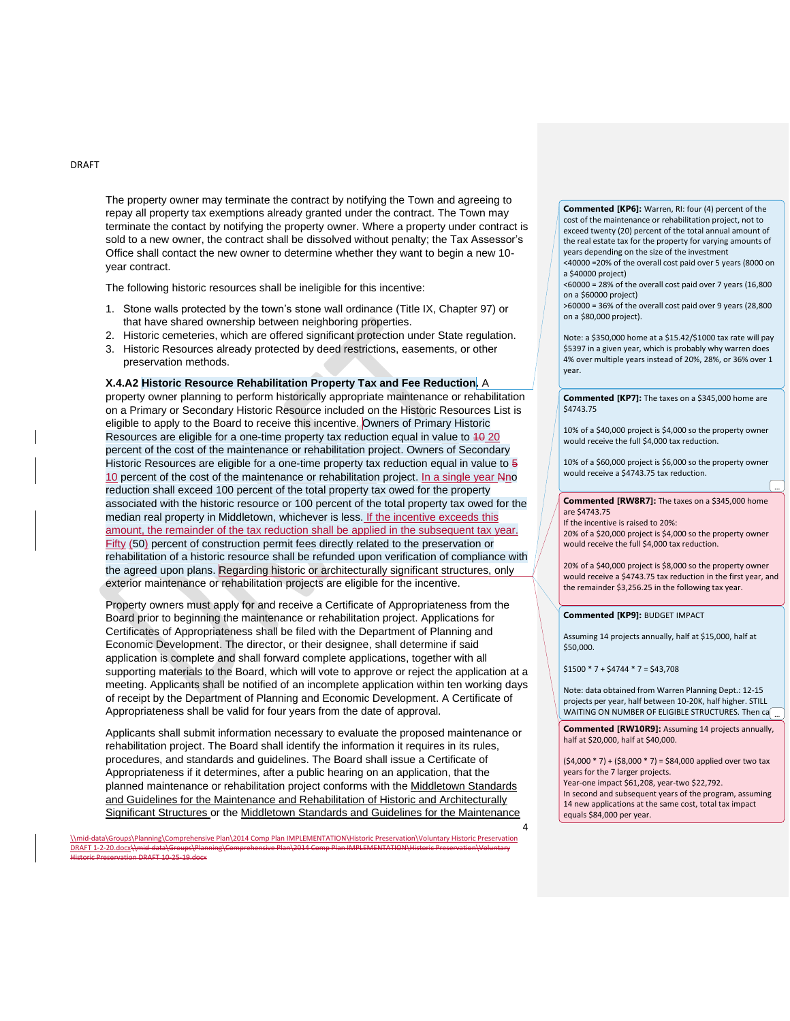The property owner may terminate the contract by notifying the Town and agreeing to repay all property tax exemptions already granted under the contract. The Town may terminate the contact by notifying the property owner. Where a property under contract is sold to a new owner, the contract shall be dissolved without penalty; the Tax Assessor's Office shall contact the new owner to determine whether they want to begin a new 10 year contract.

The following historic resources shall be ineligible for this incentive:

- 1. Stone walls protected by the town's stone wall ordinance (Title IX, Chapter 97) or that have shared ownership between neighboring properties.
- 2. Historic cemeteries, which are offered significant protection under State regulation.
- 3. Historic Resources already protected by deed restrictions, easements, or other preservation methods.

**X.4.A2 Historic Resource Rehabilitation Property Tax and Fee Reduction.** A property owner planning to perform historically appropriate maintenance or rehabilitation on a Primary or Secondary Historic Resource included on the Historic Resources List is eligible to apply to the Board to receive this incentive. Owners of Primary Historic Resources are eligible for a one-time property tax reduction equal in value to  $40\overline{20}$ percent of the cost of the maintenance or rehabilitation project. Owners of Secondary Historic Resources are eligible for a one-time property tax reduction equal in value to  $\frac{1}{5}$ 10 percent of the cost of the maintenance or rehabilitation project. In a single year Nno reduction shall exceed 100 percent of the total property tax owed for the property associated with the historic resource or 100 percent of the total property tax owed for the median real property in Middletown, whichever is less. If the incentive exceeds this amount, the remainder of the tax reduction shall be applied in the subsequent tax year. Fifty (50) percent of construction permit fees directly related to the preservation or rehabilitation of a historic resource shall be refunded upon verification of compliance with the agreed upon plans. Regarding historic or architecturally significant structures, only exterior maintenance or rehabilitation projects are eligible for the incentive.

Property owners must apply for and receive a Certificate of Appropriateness from the Board prior to beginning the maintenance or rehabilitation project. Applications for Certificates of Appropriateness shall be filed with the Department of Planning and Economic Development. The director, or their designee, shall determine if said application is complete and shall forward complete applications, together with all supporting materials to the Board, which will vote to approve or reject the application at a meeting. Applicants shall be notified of an incomplete application within ten working days of receipt by the Department of Planning and Economic Development. A Certificate of Appropriateness shall be valid for four years from the date of approval.

Applicants shall submit information necessary to evaluate the proposed maintenance or rehabilitation project. The Board shall identify the information it requires in its rules, procedures, and standards and guidelines. The Board shall issue a Certificate of Appropriateness if it determines, after a public hearing on an application, that the planned maintenance or rehabilitation project conforms with the Middletown Standards and Guidelines for the Maintenance and Rehabilitation of Historic and Architecturally Significant Structures or the Middletown Standards and Guidelines for the Maintenance

\\mid-data\Groups\Planning\Comprehensive Plan\2014 Comp Plan IMPLEMENTATION\Historic Preservation\Voluntary Historic Preservation DRAFT 1-2-20.docx\\mid-data\Groups\ DRAFT 10-25-19.do

#### **Commented [KP6]:** Warren, RI: four (4) percent of the cost of the maintenance or rehabilitation project, not to exceed twenty (20) percent of the total annual amount of

the real estate tax for the property for varying amounts of years depending on the size of the investment <40000 =20% of the overall cost paid over 5 years (8000 on

a \$40000 project) <60000 = 28% of the overall cost paid over 7 years (16,800

on a \$60000 project)

>60000 = 36% of the overall cost paid over 9 years (28,800 on a \$80,000 project).

Note: a \$350,000 home at a \$15.42/\$1000 tax rate will pay \$5397 in a given year, which is probably why warren does 4% over multiple years instead of 20%, 28%, or 36% over 1 year.

**Commented [KP7]:** The taxes on a \$345,000 home are \$4743.75

10% of a \$40,000 project is \$4,000 so the property owner would receive the full \$4,000 tax reduction.

10% of a \$60,000 project is \$6,000 so the property owner would receive a \$4743.75 tax reduction.

...

**Commented [RW8R7]:** The taxes on a \$345,000 home are \$4743.75

If the incentive is raised to 20%: 20% of a \$20,000 project is \$4,000 so the property owner would receive the full \$4,000 tax reduction.

20% of a \$40,000 project is \$8,000 so the property owner would receive a \$4743.75 tax reduction in the first year, and the remainder \$3,256.25 in the following tax year.

**Commented [KP9]:** BUDGET IMPACT

Assuming 14 projects annually, half at \$15,000, half at \$50,000.

 $$1500 * 7 + $4744 * 7 = $43,708$ 

4

Note: data obtained from Warren Planning Dept.: 12-15 projects per year, half between 10-20K, half higher. STILL WAITING ON NUMBER OF ELIGIBLE STRUCTURES. Then  $\mathsf{ca}[\;$  ...

**Commented [RW10R9]:** Assuming 14 projects annually, half at \$20,000, half at \$40,000.

 $(54,000 * 7) + (58,000 * 7) = $84,000$  applied over two tax years for the 7 larger projects. Year-one impact \$61,208, year-two \$22,792. In second and subsequent years of the program, assuming 14 new applications at the same cost, total tax impact

equals \$84,000 per year.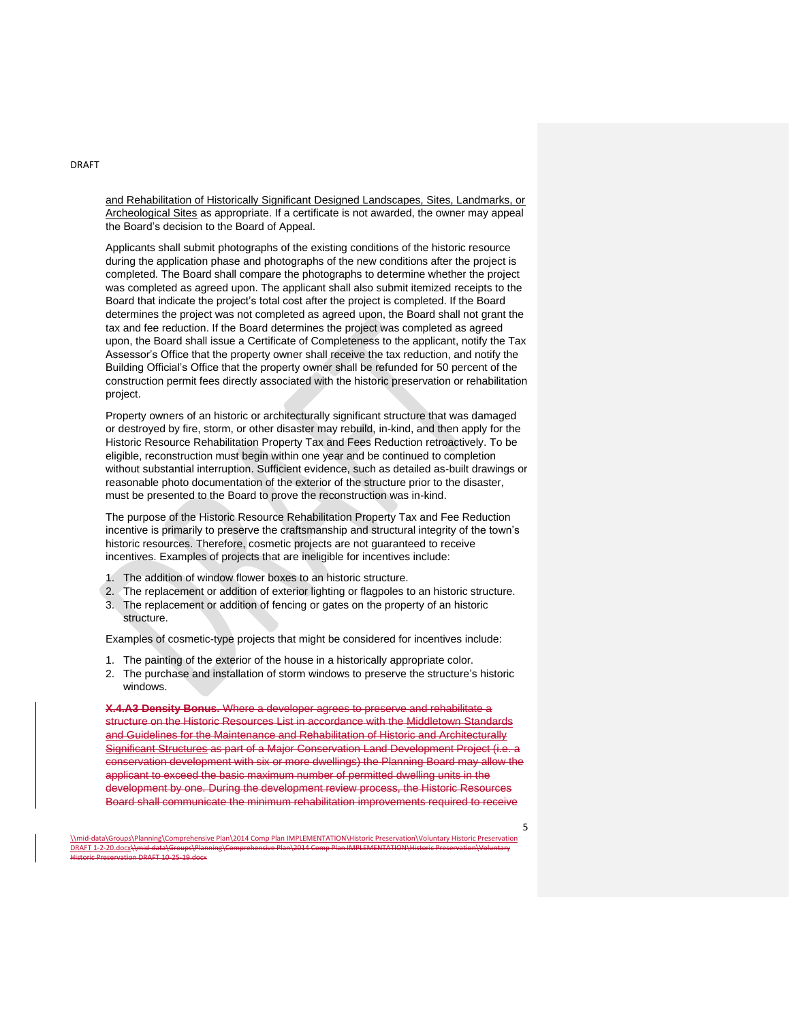and Rehabilitation of Historically Significant Designed Landscapes, Sites, Landmarks, or Archeological Sites as appropriate. If a certificate is not awarded, the owner may appeal the Board's decision to the Board of Appeal.

Applicants shall submit photographs of the existing conditions of the historic resource during the application phase and photographs of the new conditions after the project is completed. The Board shall compare the photographs to determine whether the project was completed as agreed upon. The applicant shall also submit itemized receipts to the Board that indicate the project's total cost after the project is completed. If the Board determines the project was not completed as agreed upon, the Board shall not grant the tax and fee reduction. If the Board determines the project was completed as agreed upon, the Board shall issue a Certificate of Completeness to the applicant, notify the Tax Assessor's Office that the property owner shall receive the tax reduction, and notify the Building Official's Office that the property owner shall be refunded for 50 percent of the construction permit fees directly associated with the historic preservation or rehabilitation project.

Property owners of an historic or architecturally significant structure that was damaged or destroyed by fire, storm, or other disaster may rebuild, in-kind, and then apply for the Historic Resource Rehabilitation Property Tax and Fees Reduction retroactively. To be eligible, reconstruction must begin within one year and be continued to completion without substantial interruption. Sufficient evidence, such as detailed as-built drawings or reasonable photo documentation of the exterior of the structure prior to the disaster, must be presented to the Board to prove the reconstruction was in-kind.

The purpose of the Historic Resource Rehabilitation Property Tax and Fee Reduction incentive is primarily to preserve the craftsmanship and structural integrity of the town's historic resources. Therefore, cosmetic projects are not guaranteed to receive incentives. Examples of projects that are ineligible for incentives include:

- 1. The addition of window flower boxes to an historic structure.
- 2. The replacement or addition of exterior lighting or flagpoles to an historic structure.
- 3. The replacement or addition of fencing or gates on the property of an historic structure.

Examples of cosmetic-type projects that might be considered for incentives include:

- 1. The painting of the exterior of the house in a historically appropriate color.
- 2. The purchase and installation of storm windows to preserve the structure's historic windows.

**X.4.A3 Density Bonus.** Where a developer agrees to preserve and rehabilitate a structure on the Historic Resources List in accordance with the Middletown Standards and Guidelines for the Maintenance and Rehabilitation of Historic and Architecturally Significant Structures as part of a Major Conservation Land Development Project (i.e. a conservation development with six or more dwellings) the Planning Board may allow the applicant to exceed the basic maximum number of permitted dwelling units in the development by one. During the development review process, the Historic Resources Board shall communicate the minimum rehabilitation improvements required to receive

5

DRAFT

<sup>\\</sup>mid-data\Groups\Planning\Comprehensive Plan\2014 Comp Plan IMPLEMENTATION\Historic Preservation\Voluntary Historic Preservation DRAFT 1-2-20.docx\\mid-data\Groups\Pla  $DRAFT 10-25-19.$ do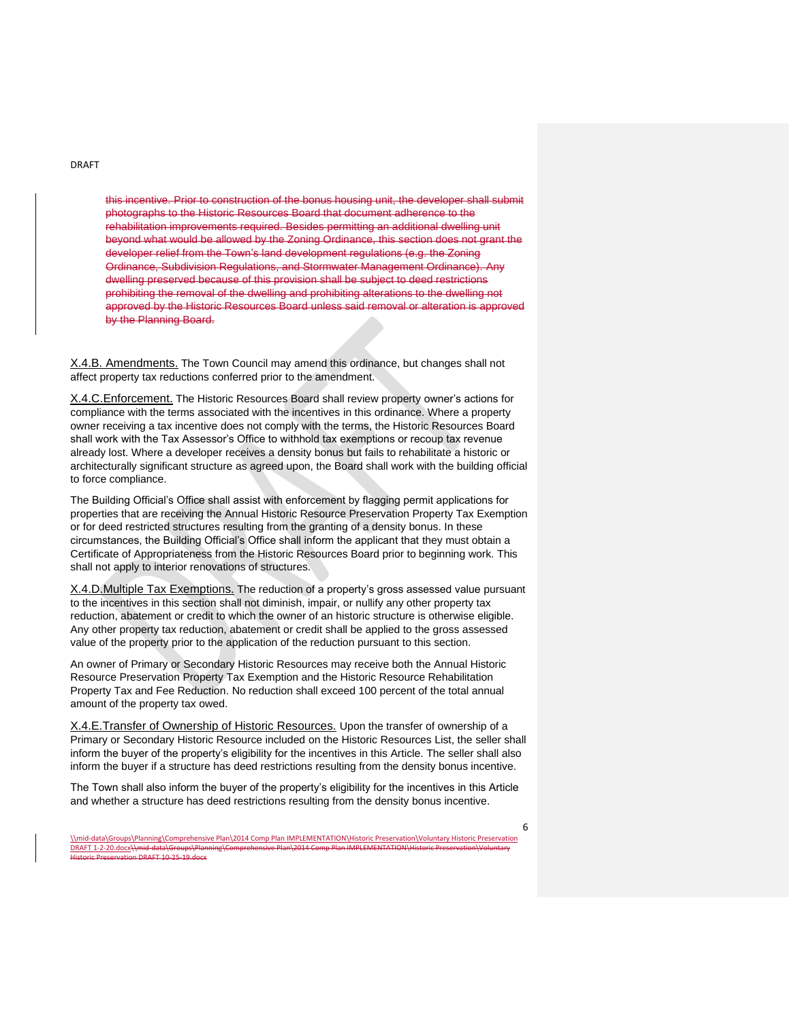this incentive. Prior to construction of the bonus housing unit, the developer shall submit photographs to the Historic Resources Board that document adherence to the rehabilitation improvements required. Besides permitting an additional dwelling unit beyond what would be allowed by the Zoning Ordinance, this section does not grant the developer relief from the Town's land development regulations (e.g. the Zoning Ordinance, Subdivision Regulations, and Stormwater Management Ordinance). Any dwelling preserved because of this provision shall be subject to deed restrictions prohibiting the removal of the dwelling and prohibiting alterations to the dwelling not approved by the Historic Resources Board unless said removal or alteration is approved by the Planning Board.

X.4.B. Amendments. The Town Council may amend this ordinance, but changes shall not affect property tax reductions conferred prior to the amendment.

X.4.C.Enforcement. The Historic Resources Board shall review property owner's actions for compliance with the terms associated with the incentives in this ordinance. Where a property owner receiving a tax incentive does not comply with the terms, the Historic Resources Board shall work with the Tax Assessor's Office to withhold tax exemptions or recoup tax revenue already lost. Where a developer receives a density bonus but fails to rehabilitate a historic or architecturally significant structure as agreed upon, the Board shall work with the building official to force compliance.

The Building Official's Office shall assist with enforcement by flagging permit applications for properties that are receiving the Annual Historic Resource Preservation Property Tax Exemption or for deed restricted structures resulting from the granting of a density bonus. In these circumstances, the Building Official's Office shall inform the applicant that they must obtain a Certificate of Appropriateness from the Historic Resources Board prior to beginning work. This shall not apply to interior renovations of structures.

X.4.D.Multiple Tax Exemptions. The reduction of a property's gross assessed value pursuant to the incentives in this section shall not diminish, impair, or nullify any other property tax reduction, abatement or credit to which the owner of an historic structure is otherwise eligible. Any other property tax reduction, abatement or credit shall be applied to the gross assessed value of the property prior to the application of the reduction pursuant to this section.

An owner of Primary or Secondary Historic Resources may receive both the Annual Historic Resource Preservation Property Tax Exemption and the Historic Resource Rehabilitation Property Tax and Fee Reduction. No reduction shall exceed 100 percent of the total annual amount of the property tax owed.

X.4.E.Transfer of Ownership of Historic Resources. Upon the transfer of ownership of a Primary or Secondary Historic Resource included on the Historic Resources List, the seller shall inform the buyer of the property's eligibility for the incentives in this Article. The seller shall also inform the buyer if a structure has deed restrictions resulting from the density bonus incentive.

The Town shall also inform the buyer of the property's eligibility for the incentives in this Article and whether a structure has deed restrictions resulting from the density bonus incentive.

<sup>\\</sup>mid-data\Groups\Planning\Comprehensive Plan\2014 Comp Plan IMPLEMENTATION\Historic Preservation\Voluntary Historic Preservation DRAFT 1-2-20.docx\\mid-data\Groups\Pland .<br>DRAFT 10-25-19.doc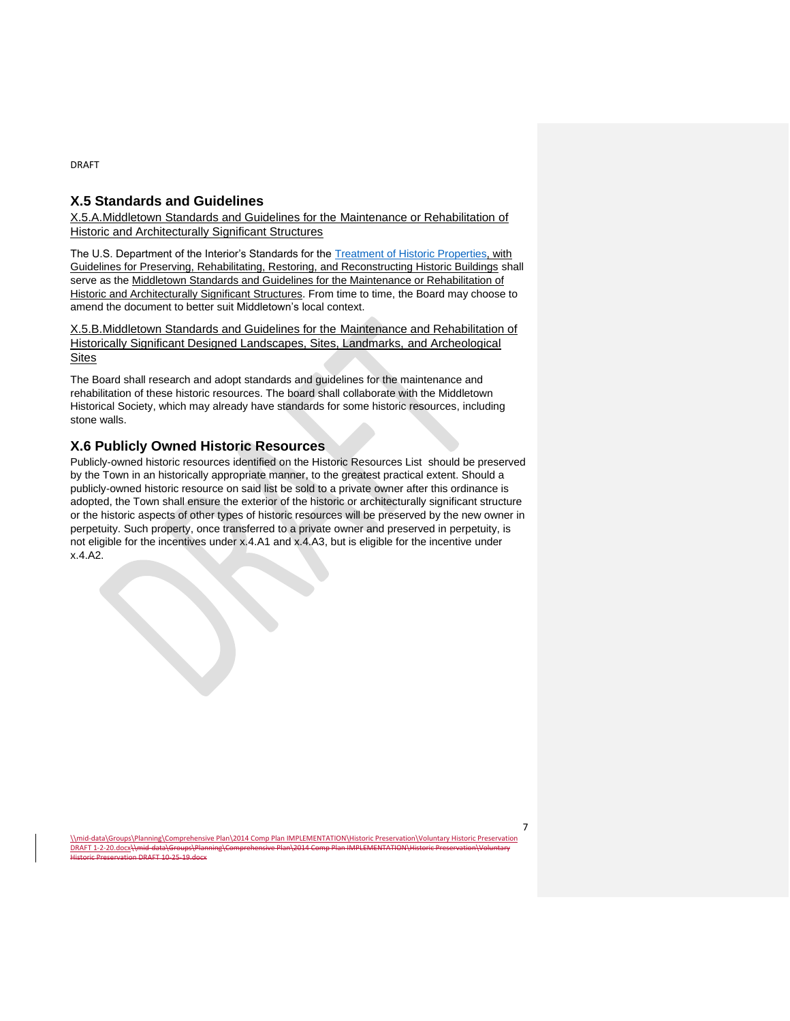# **X.5 Standards and Guidelines**

X.5.A.Middletown Standards and Guidelines for the Maintenance or Rehabilitation of Historic and Architecturally Significant Structures

The U.S. Department of the Interior's Standards for the [Treatment of Historic Properties,](https://www.nps.gov/tps/standards/treatment-guidelines-2017.pdf) with Guidelines for Preserving, Rehabilitating, Restoring, and Reconstructing Historic Buildings shall serve as the Middletown Standards and Guidelines for the Maintenance or Rehabilitation of Historic and Architecturally Significant Structures. From time to time, the Board may choose to amend the document to better suit Middletown's local context.

X.5.B.Middletown Standards and Guidelines for the Maintenance and Rehabilitation of Historically Significant Designed Landscapes, Sites, Landmarks, and Archeological **Sites** 

The Board shall research and adopt standards and guidelines for the maintenance and rehabilitation of these historic resources. The board shall collaborate with the Middletown Historical Society, which may already have standards for some historic resources, including stone walls.

# **X.6 Publicly Owned Historic Resources**

DRAFT 1-2-20.docx\\mid-data\Gr

 $DRAFT 10-25-19.d$ 

Publicly-owned historic resources identified on the Historic Resources List should be preserved by the Town in an historically appropriate manner, to the greatest practical extent. Should a publicly-owned historic resource on said list be sold to a private owner after this ordinance is adopted, the Town shall ensure the exterior of the historic or architecturally significant structure or the historic aspects of other types of historic resources will be preserved by the new owner in perpetuity. Such property, once transferred to a private owner and preserved in perpetuity, is not eligible for the incentives under x.4.A1 and x.4.A3, but is eligible for the incentive under x.4.A2.

\\mid-data\Groups\Planning\Comprehensive Plan\2014 Comp Plan IMPLEMENTATION\Historic Preservation\Voluntary Historic Preservation

DRAFT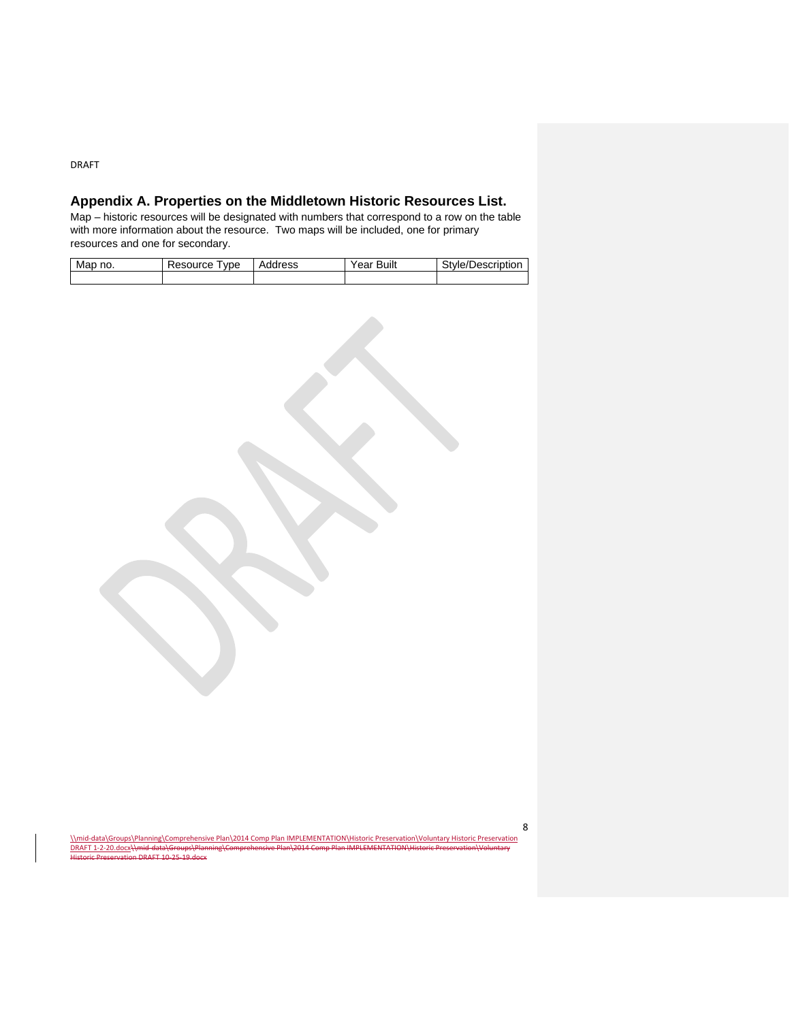# **Appendix A. Properties on the Middletown Historic Resources List.**

Map – historic resources will be designated with numbers that correspond to a row on the table with more information about the resource. Two maps will be included, one for primary resources and one for secondary.

| Map | Resource | Address | Built | Description |
|-----|----------|---------|-------|-------------|
| no. | vpe      |         | Year  | `tvle/l     |
|     |          |         |       |             |

| 8<br>\\mid-data\Groups\Planning\Comprehensive Plan\2014 Comp Plan IMPLEMENTATION\Historic Preservation\Voluntary Historic Preservation<br>DRAFT 1-2-20.docx\\mid-data\Groups\Planning\Comprehensive Plan\2014 Comp Plan IMPLEMENTATION\Historic Preservation\Voluntary<br>Historic Preservation DRAFT 10-25-19.docx |  |
|---------------------------------------------------------------------------------------------------------------------------------------------------------------------------------------------------------------------------------------------------------------------------------------------------------------------|--|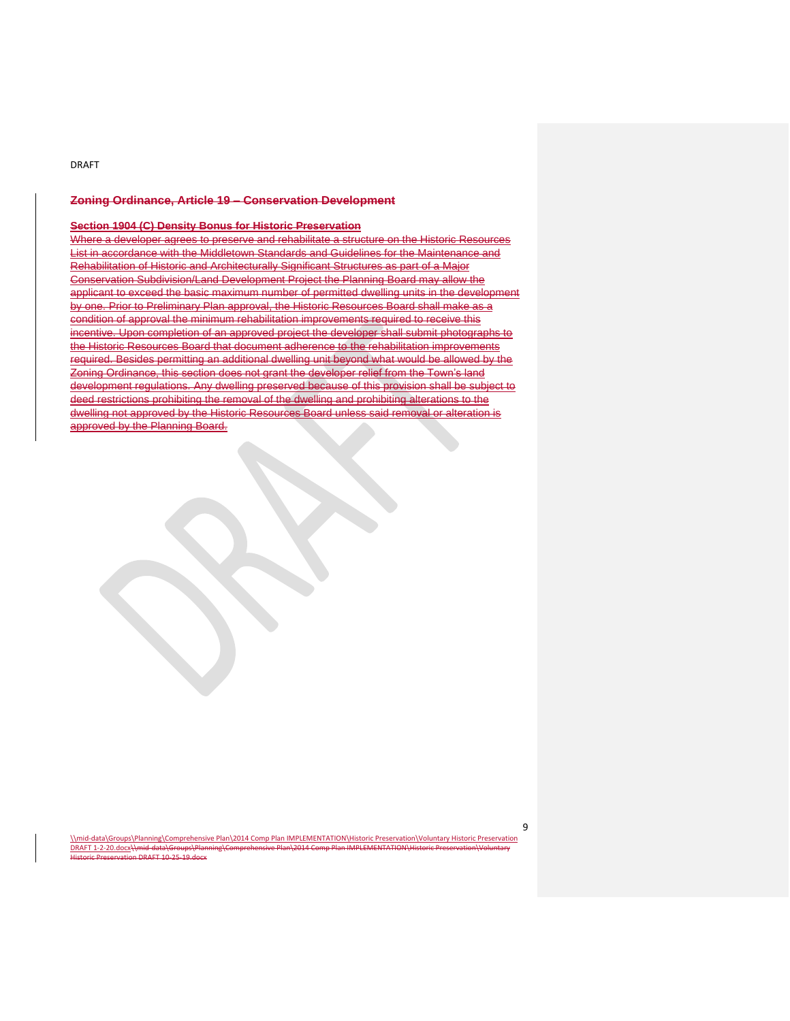DRAFT 1-2-20.docx\\mid-data\Groups\Pland

 $\overline{\phantom{0}}$  DRAFT 10-25-19.docx

### **Zoning Ordinance, Article 19 – Conservation Development**

### **Section 1904 (C) Density Bonus for Historic Preservation**

Where a developer agrees to preserve and rehabilitate a structure on the Historic Resources List in accordance with the Middletown Standards and Guidelines for the Maintenance and Rehabilitation of Historic and Architecturally Significant Structures as part of a Major Conservation Subdivision/Land Development Project the Planning Board may allow the applicant to exceed the basic maximum number of permitted dwelling units in the development by one. Prior to Preliminary Plan approval, the Historic Resources Board shall make as a condition of approval the minimum rehabilitation improvements required to receive this incentive. Upon completion of an approved project the developer shall submit photographs to the Historic Resources Board that document adherence to the rehabilitation improvements required. Besides permitting an additional dwelling unit beyond what would be allowed by the Zoning Ordinance, this section does not grant the developer relief from the Town's land development regulations. Any dwelling preserved because of this provision shall be subject to deed restrictions prohibiting the removal of the dwelling and prohibiting alterations to the dwelling not approved by the Historic Resources Board unless said removal or alteration is approved by the Planning Board.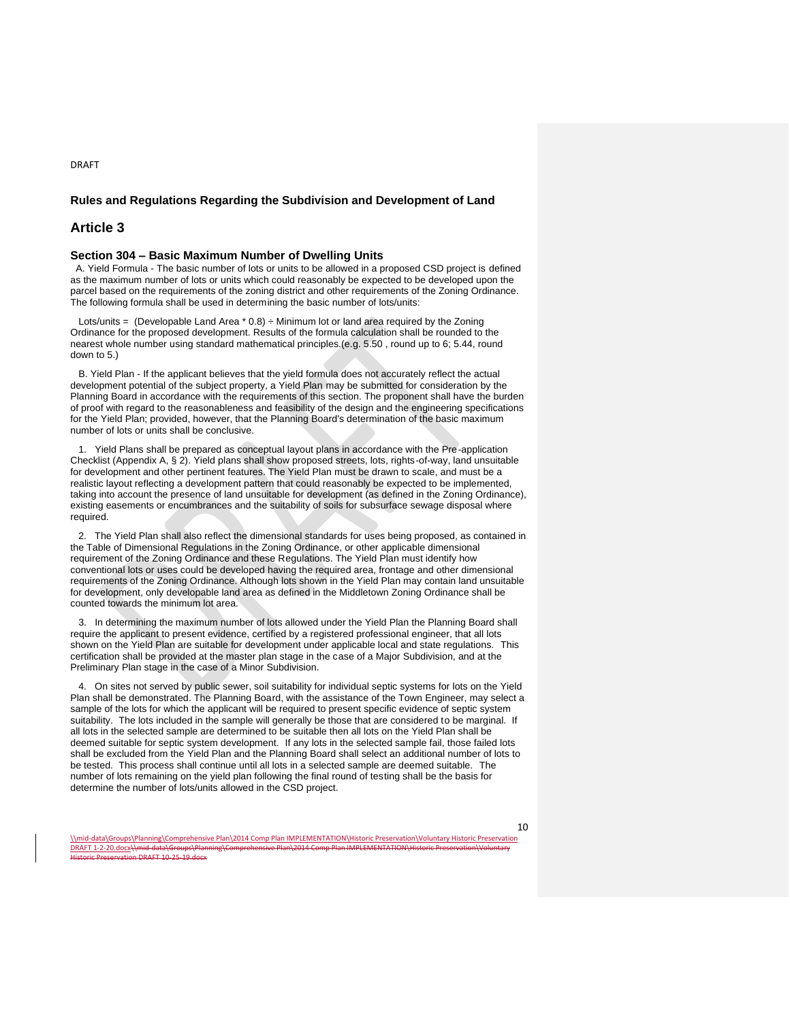### **Rules and Regulations Regarding the Subdivision and Development of Land**

### **Article 3**

DRAFT

### **Section 304 – Basic Maximum Number of Dwelling Units**

 A. Yield Formula - The basic number of lots or units to be allowed in a proposed CSD project is defined as the maximum number of lots or units which could reasonably be expected to be developed upon the parcel based on the requirements of the zoning district and other requirements of the Zoning Ordinance. The following formula shall be used in determining the basic number of lots/units:

Lots/units = (Developable Land Area \* 0.8) ÷ Minimum lot or land area required by the Zoning Ordinance for the proposed development. Results of the formula calculation shall be rounded to the nearest whole number using standard mathematical principles.(e.g. 5.50 , round up to 6; 5.44, round down to 5.)

 B. Yield Plan - If the applicant believes that the yield formula does not accurately reflect the actual development potential of the subject property, a Yield Plan may be submitted for consideration by the Planning Board in accordance with the requirements of this section. The proponent shall have the burden of proof with regard to the reasonableness and feasibility of the design and the engineering specifications for the Yield Plan; provided, however, that the Planning Board's determination of the basic maximum number of lots or units shall be conclusive.

 1. Yield Plans shall be prepared as conceptual layout plans in accordance with the Pre-application Checklist (Appendix A, § 2). Yield plans shall show proposed streets, lots, rights-of-way, land unsuitable for development and other pertinent features. The Yield Plan must be drawn to scale, and must be a realistic layout reflecting a development pattern that could reasonably be expected to be implemented, taking into account the presence of land unsuitable for development (as defined in the Zoning Ordinance), existing easements or encumbrances and the suitability of soils for subsurface sewage disposal where required.

 2. The Yield Plan shall also reflect the dimensional standards for uses being proposed, as contained in the Table of Dimensional Regulations in the Zoning Ordinance, or other applicable dimensional requirement of the Zoning Ordinance and these Regulations. The Yield Plan must identify how conventional lots or uses could be developed having the required area, frontage and other dimensional requirements of the Zoning Ordinance. Although lots shown in the Yield Plan may contain land unsuitable for development, only developable land area as defined in the Middletown Zoning Ordinance shall be counted towards the minimum lot area.

 3. In determining the maximum number of lots allowed under the Yield Plan the Planning Board shall require the applicant to present evidence, certified by a registered professional engineer, that all lots shown on the Yield Plan are suitable for development under applicable local and state regulations. This certification shall be provided at the master plan stage in the case of a Major Subdivision, and at the Preliminary Plan stage in the case of a Minor Subdivision.

 4. On sites not served by public sewer, soil suitability for individual septic systems for lots on the Yield Plan shall be demonstrated. The Planning Board, with the assistance of the Town Engineer, may select a sample of the lots for which the applicant will be required to present specific evidence of septic system suitability. The lots included in the sample will generally be those that are considered to be marginal. If all lots in the selected sample are determined to be suitable then all lots on the Yield Plan shall be deemed suitable for septic system development. If any lots in the selected sample fail, those failed lots shall be excluded from the Yield Plan and the Planning Board shall select an additional number of lots to be tested. This process shall continue until all lots in a selected sample are deemed suitable. The number of lots remaining on the yield plan following the final round of testing shall be the basis for determine the number of lots/units allowed in the CSD project.

\\mid-data\Groups\Planning\Comprehensive Plan\2014 Comp Plan IMPLEMENTATION\Historic Preservation\Voluntary Historic Preservation DRAFT 1-2-20.docx\\mid-data\Groups DRAFT 10-25-19.do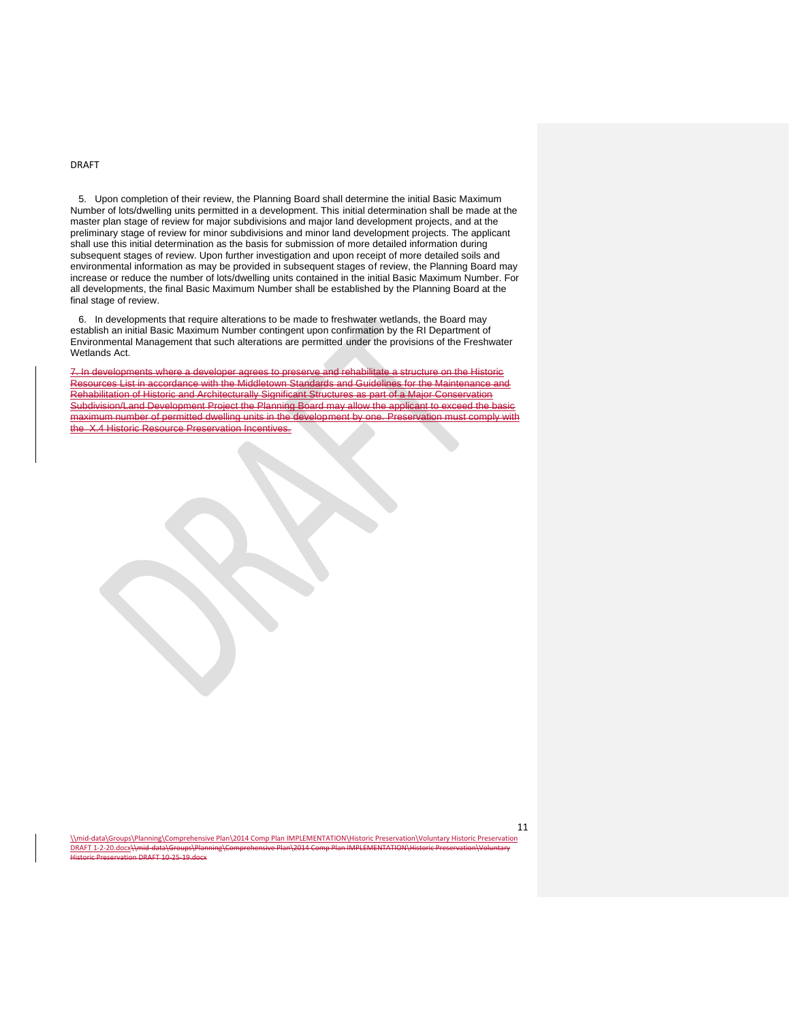DRAFT 1-2-20.docx\\mid-data\Group

DRAFT 10-25-19.do

 5. Upon completion of their review, the Planning Board shall determine the initial Basic Maximum Number of lots/dwelling units permitted in a development. This initial determination shall be made at the master plan stage of review for major subdivisions and major land development projects, and at the preliminary stage of review for minor subdivisions and minor land development projects. The applicant shall use this initial determination as the basis for submission of more detailed information during subsequent stages of review. Upon further investigation and upon receipt of more detailed soils and environmental information as may be provided in subsequent stages of review, the Planning Board may increase or reduce the number of lots/dwelling units contained in the initial Basic Maximum Number. For all developments, the final Basic Maximum Number shall be established by the Planning Board at the final stage of review.

 6. In developments that require alterations to be made to freshwater wetlands, the Board may establish an initial Basic Maximum Number contingent upon confirmation by the RI Department of Environmental Management that such alterations are permitted under the provisions of the Freshwater Wetlands Act.

7. In developments where a developer agrees to preserve and rehabilitate a structure on the Historic Resources List in accordance with the Middletown Standards and Guidelines for the Maintenance and Rehabilitation of Historic and Architecturally Significant Structures as part of a Major Conservation Subdivision/Land Development Project the Planning Board may allow the applicant to exceed the b maximum number of permitted dwelling units in the development by one. Preservation must comply with **X.4 Historic Resource Preservation Incentives.**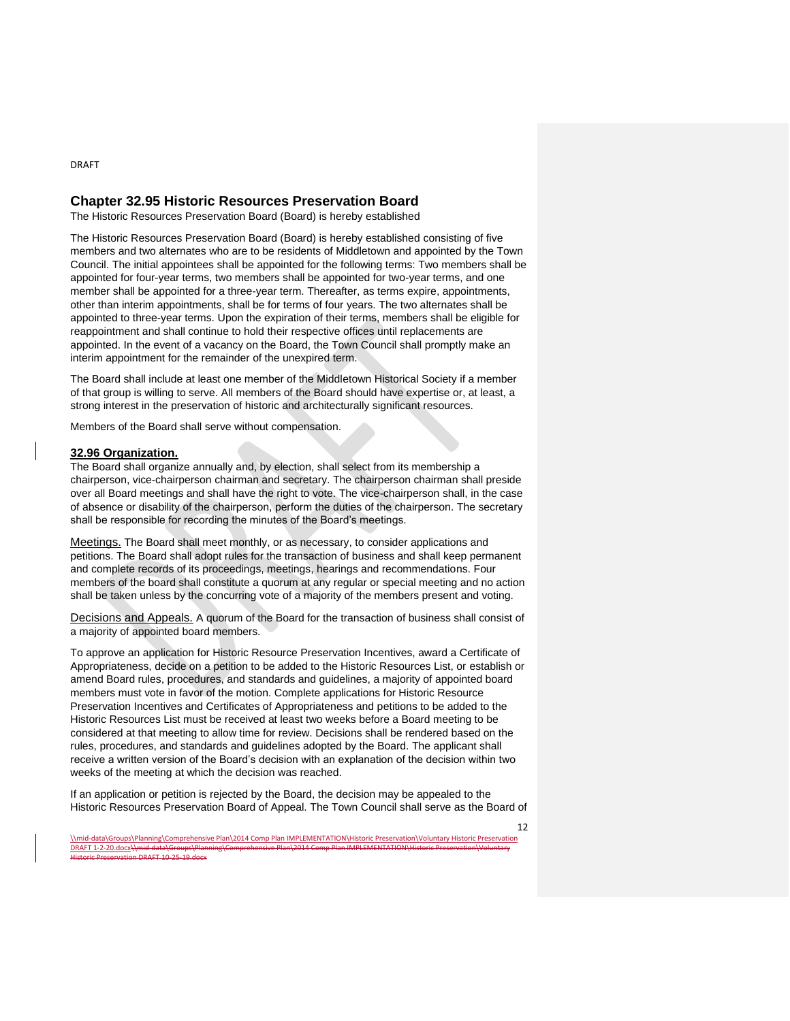# **Chapter 32.95 Historic Resources Preservation Board**

The Historic Resources Preservation Board (Board) is hereby established

The Historic Resources Preservation Board (Board) is hereby established consisting of five members and two alternates who are to be residents of Middletown and appointed by the Town Council. The initial appointees shall be appointed for the following terms: Two members shall be appointed for four-year terms, two members shall be appointed for two-year terms, and one member shall be appointed for a three-year term. Thereafter, as terms expire, appointments, other than interim appointments, shall be for terms of four years. The two alternates shall be appointed to three-year terms. Upon the expiration of their terms, members shall be eligible for reappointment and shall continue to hold their respective offices until replacements are appointed. In the event of a vacancy on the Board, the Town Council shall promptly make an interim appointment for the remainder of the unexpired term.

The Board shall include at least one member of the Middletown Historical Society if a member of that group is willing to serve. All members of the Board should have expertise or, at least, a strong interest in the preservation of historic and architecturally significant resources.

Members of the Board shall serve without compensation.

### **32.96 Organization.**

The Board shall organize annually and, by election, shall select from its membership a chairperson, vice-chairperson chairman and secretary. The chairperson chairman shall preside over all Board meetings and shall have the right to vote. The vice-chairperson shall, in the case of absence or disability of the chairperson, perform the duties of the chairperson. The secretary shall be responsible for recording the minutes of the Board's meetings.

Meetings. The Board shall meet monthly, or as necessary, to consider applications and petitions. The Board shall adopt rules for the transaction of business and shall keep permanent and complete records of its proceedings, meetings, hearings and recommendations. Four members of the board shall constitute a quorum at any regular or special meeting and no action shall be taken unless by the concurring vote of a majority of the members present and voting.

Decisions and Appeals. A quorum of the Board for the transaction of business shall consist of a majority of appointed board members.

To approve an application for Historic Resource Preservation Incentives, award a Certificate of Appropriateness, decide on a petition to be added to the Historic Resources List, or establish or amend Board rules, procedures, and standards and guidelines, a majority of appointed board members must vote in favor of the motion. Complete applications for Historic Resource Preservation Incentives and Certificates of Appropriateness and petitions to be added to the Historic Resources List must be received at least two weeks before a Board meeting to be considered at that meeting to allow time for review. Decisions shall be rendered based on the rules, procedures, and standards and guidelines adopted by the Board. The applicant shall receive a written version of the Board's decision with an explanation of the decision within two weeks of the meeting at which the decision was reached.

If an application or petition is rejected by the Board, the decision may be appealed to the Historic Resources Preservation Board of Appeal. The Town Council shall serve as the Board of

12

DRAFT

<sup>\\</sup>mid-data\Groups\Planning\Comprehensive Plan\2014 Comp Plan IMPLEMENTATION\Historic Preservation\Voluntary Historic Preservation DRAFT 1-2-20.docx\\mid-data\Groups DRAFT 10-25-19.do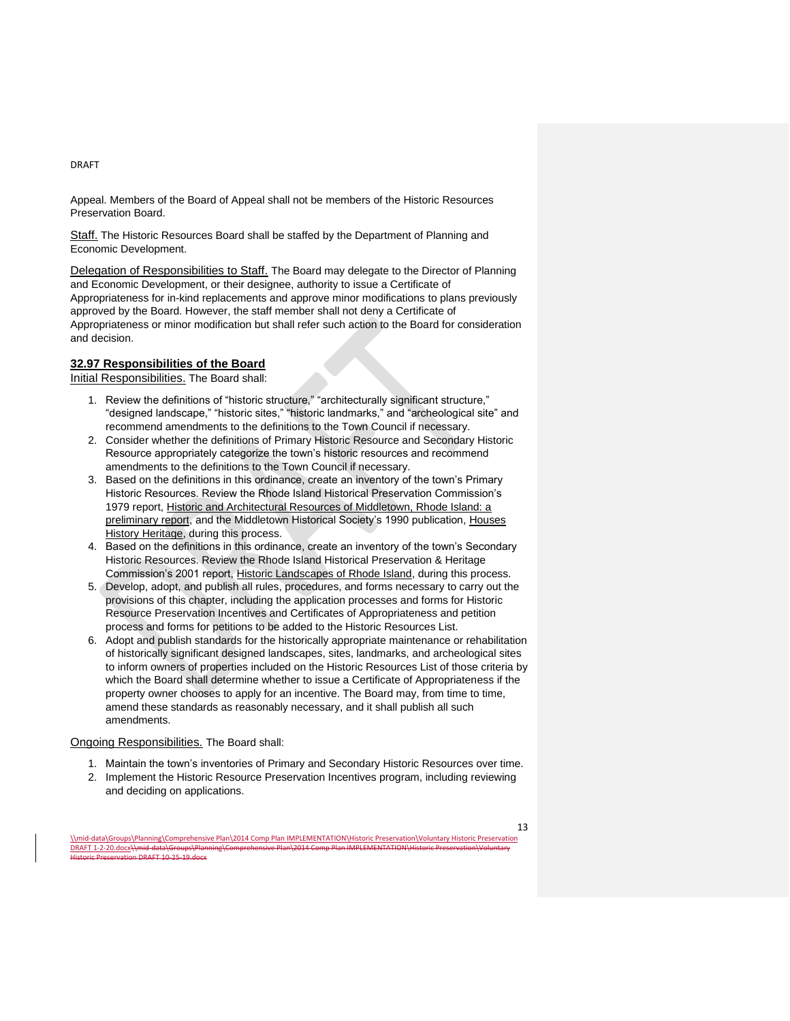Appeal. Members of the Board of Appeal shall not be members of the Historic Resources Preservation Board.

Staff. The Historic Resources Board shall be staffed by the Department of Planning and Economic Development.

Delegation of Responsibilities to Staff. The Board may delegate to the Director of Planning and Economic Development, or their designee, authority to issue a Certificate of Appropriateness for in-kind replacements and approve minor modifications to plans previously approved by the Board. However, the staff member shall not deny a Certificate of Appropriateness or minor modification but shall refer such action to the Board for consideration and decision.

### **32.97 Responsibilities of the Board**

Initial Responsibilities. The Board shall:

- 1. Review the definitions of "historic structure," "architecturally significant structure," "designed landscape," "historic sites," "historic landmarks," and "archeological site" and recommend amendments to the definitions to the Town Council if necessary.
- 2. Consider whether the definitions of Primary Historic Resource and Secondary Historic Resource appropriately categorize the town's historic resources and recommend amendments to the definitions to the Town Council if necessary.
- 3. Based on the definitions in this ordinance, create an inventory of the town's Primary Historic Resources. Review the Rhode Island Historical Preservation Commission's 1979 report, Historic and Architectural Resources of Middletown, Rhode Island: a preliminary report, and the Middletown Historical Society's 1990 publication, Houses History Heritage, during this process.
- 4. Based on the definitions in this ordinance, create an inventory of the town's Secondary Historic Resources. Review the Rhode Island Historical Preservation & Heritage Commission's 2001 report, Historic Landscapes of Rhode Island, during this process.
- 5. Develop, adopt, and publish all rules, procedures, and forms necessary to carry out the provisions of this chapter, including the application processes and forms for Historic Resource Preservation Incentives and Certificates of Appropriateness and petition process and forms for petitions to be added to the Historic Resources List.
- 6. Adopt and publish standards for the historically appropriate maintenance or rehabilitation of historically significant designed landscapes, sites, landmarks, and archeological sites to inform owners of properties included on the Historic Resources List of those criteria by which the Board shall determine whether to issue a Certificate of Appropriateness if the property owner chooses to apply for an incentive. The Board may, from time to time, amend these standards as reasonably necessary, and it shall publish all such amendments.

### Ongoing Responsibilities. The Board shall:

- 1. Maintain the town's inventories of Primary and Secondary Historic Resources over time.
- 2. Implement the Historic Resource Preservation Incentives program, including reviewing and deciding on applications.